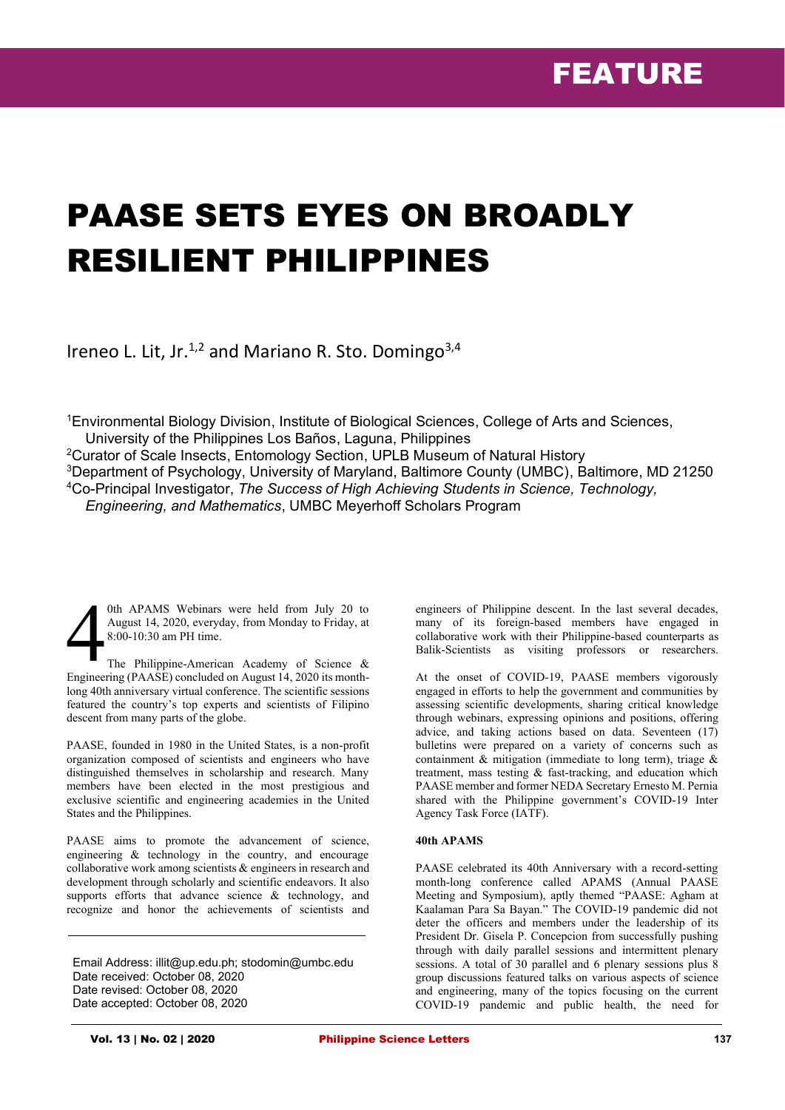## PAASE SETS EYES ON BROADLY RESILIENT PHILIPPINES

Ireneo L. Lit, Jr.<sup>1,2</sup> and Mariano R. Sto. Domingo<sup>3,4</sup>

1Environmental Biology Division, Institute of Biological Sciences, College of Arts and Sciences, University of the Philippines Los Baños, Laguna, Philippines

<sup>2</sup>Curator of Scale Insects, Entomology Section, UPLB Museum of Natural History

3Department of Psychology, University of Maryland, Baltimore County (UMBC), Baltimore, MD 21250 4Co-Principal Investigator, *The Success of High Achieving Students in Science, Technology, Engineering, and Mathematics*, UMBC Meyerhoff Scholars Program

0th APAMS Webinars were held from July 20 to August 14, 2020, everyday, from Monday to Friday, at 8:00-10:30 am PH time. 4

The Philippine-American Academy of Science & Engineering (PAASE) concluded on August 14, 2020 its monthlong 40th anniversary virtual conference. The scientific sessions featured the country's top experts and scientists of Filipino descent from many parts of the globe.

PAASE, founded in 1980 in the United States, is a non-profit organization composed of scientists and engineers who have distinguished themselves in scholarship and research. Many members have been elected in the most prestigious and exclusive scientific and engineering academies in the United States and the Philippines.

PAASE aims to promote the advancement of science, engineering & technology in the country, and encourage collaborative work among scientists & engineers in research and development through scholarly and scientific endeavors. It also supports efforts that advance science & technology, and recognize and honor the achievements of scientists and

Email Address: illit@up.edu.ph; stodomin@umbc.edu Date received: October 08, 2020 Date revised: October 08, 2020 Date accepted: October 08, 2020

engineers of Philippine descent. In the last several decades, many of its foreign-based members have engaged in collaborative work with their Philippine-based counterparts as Balik-Scientists as visiting professors or researchers.

At the onset of COVID-19, PAASE members vigorously engaged in efforts to help the government and communities by assessing scientific developments, sharing critical knowledge through webinars, expressing opinions and positions, offering advice, and taking actions based on data. Seventeen (17) bulletins were prepared on a variety of concerns such as containment & mitigation (immediate to long term), triage & treatment, mass testing & fast-tracking, and education which PAASE member and former NEDA Secretary Ernesto M. Pernia shared with the Philippine government's COVID-19 Inter Agency Task Force (IATF).

## **40th APAMS**

PAASE celebrated its 40th Anniversary with a record-setting month-long conference called APAMS (Annual PAASE Meeting and Symposium), aptly themed "PAASE: Agham at Kaalaman Para Sa Bayan." The COVID-19 pandemic did not deter the officers and members under the leadership of its President Dr. Gisela P. Concepcion from successfully pushing through with daily parallel sessions and intermittent plenary sessions. A total of 30 parallel and 6 plenary sessions plus 8 group discussions featured talks on various aspects of science and engineering, many of the topics focusing on the current COVID-19 pandemic and public health, the need for